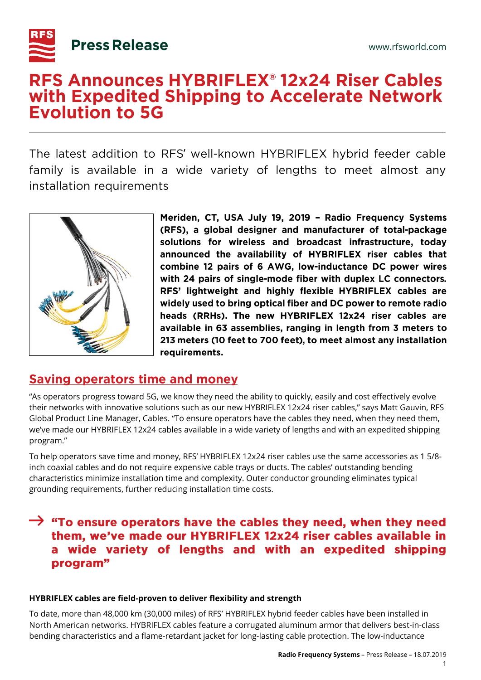

# **RFS Announces HYBRIFLEX<sup>®</sup> 12x24 Riser Cables** with Expedited Shipping to Accelerate Network **Evolution to 5G**

The latest addition to RFS' well-known HYBRIFLEX hybrid feeder cable ' family is available in a wide variety of lengths to meet almost any installation requirements



Meriden, CT, USA July 19, 2019 - Radio Frequency Systems (RFS), a global designer and manufacturer of total-package solutions for wireless and broadcast infrastructure, today announced the availability of HYBRIFLEX riser cables that combine 12 pairs of 6 AWG, low-inductance DC power wires with 24 pairs of single-mode fiber with duplex LC connectors. RFS' lightweight and highly flexible HYBRIFLEX cables are widely used to bring optical fiber and DC power to remote radio heads (RRHs). The new HYBRIFLEX 12x24 riser cables are available in 63 assemblies, ranging in length from 3 meters to 213 meters (10 feet to 700 feet), to meet almost any installation requirements.

# **Saving operators time and money**

"As operators progress toward 5G, we know they need the ability to quickly, easily and cost effectively evolve their networks with innovative solutions such as our new HYBRIFLEX 12x24 riser cables," says Matt Gauvin, RFS Global Product Line Manager, Cables. "To ensure operators have the cables they need, when they need them, we've made our HYBRIFLEX 12x24 cables available in a wide variety of lengths and with an expedited shipping program."

To help operators save time and money, RFS' HYBRIFLEX 12x24 riser cables use the same accessories as 1 5/8 inch coaxial cables and do not require expensive cable trays or ducts. The cables' outstanding bending characteristics minimize installation time and complexity. Outer conductor grounding eliminates typical grounding requirements, further reducing installation time costs.

## $\rightarrow$  "To ensure operators have the cables they need, when they need them, we've made our HYBRIFLEX 12x24 riser cables available in a wide variety of lengths and with an expedited shipping program"

### **HYBRIFLEX cables are field-proven to deliver flexibility and strength**

To date, more than 48,000 km (30,000 miles) of RFS' HYBRIFLEX hybrid feeder cables have been installed in North American networks. HYBRIFLEX cables feature a corrugated aluminum armor that delivers best-in-class bending characteristics and a flame-retardant jacket for long-lasting cable protection. The low-inductance